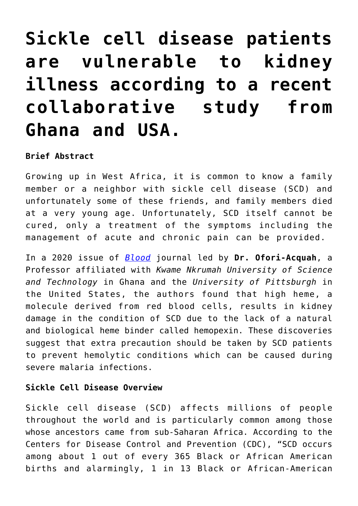# **[Sickle cell disease patients](https://adsf.club/?p=484) [are vulnerable to kidney](https://adsf.club/?p=484) [illness according to a recent](https://adsf.club/?p=484) [collaborative study from](https://adsf.club/?p=484) [Ghana and USA.](https://adsf.club/?p=484)**

### **Brief Abstract**

Growing up in West Africa, it is common to know a family member or a neighbor with sickle cell disease (SCD) and unfortunately some of these friends, and family members died at a very young age. Unfortunately, SCD itself cannot be cured, only a treatment of the symptoms including the management of acute and chronic pain can be provided.

In a 2020 issue of *[Blood](https://ashpublications.org/blood/article-abstract/135/13/1044/441059/Hemopexin-deficiency-promotes-acute-kidney-injury?redirectedFrom=fulltext)* journal led by **Dr. Ofori-Acquah**, a Professor affiliated with *Kwame Nkrumah University of Science and Technology* in Ghana and the *University of Pittsburgh* in the United States, the authors found that high heme, a molecule derived from red blood cells, results in kidney damage in the condition of SCD due to the lack of a natural and biological heme binder called hemopexin. These discoveries suggest that extra precaution should be taken by SCD patients to prevent hemolytic conditions which can be caused during severe malaria infections.

## **Sickle Cell Disease Overview**

Sickle cell disease (SCD) affects millions of people throughout the world and is particularly common among those whose ancestors came from sub-Saharan Africa. According to the Centers for Disease Control and Prevention (CDC), "SCD occurs among about 1 out of every 365 Black or African American births and alarmingly, 1 in 13 Black or African-American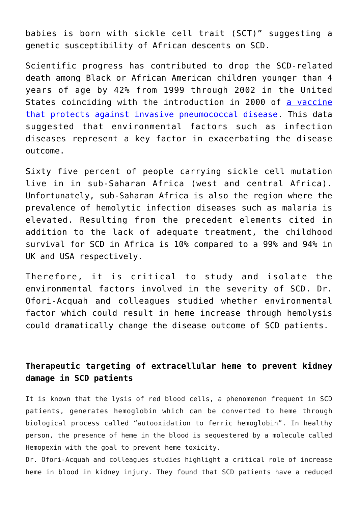babies is born with sickle cell trait (SCT)" suggesting a genetic susceptibility of African descents on SCD.

Scientific progress has contributed to drop the SCD-related death among Black or African American children younger than 4 years of age by 42% from 1999 through 2002 in the United States coinciding with the introduction in 2000 of [a vaccine](https://pubmed.ncbi.nlm.nih.gov/19028391/) [that protects against invasive pneumococcal disease](https://pubmed.ncbi.nlm.nih.gov/19028391/). This data suggested that environmental factors such as infection diseases represent a key factor in exacerbating the disease outcome.

Sixty five percent of people carrying sickle cell mutation live in in sub-Saharan Africa (west and central Africa). Unfortunately, sub-Saharan Africa is also the region where the prevalence of hemolytic infection diseases such as malaria is elevated. Resulting from the precedent elements cited in addition to the lack of adequate treatment, the childhood survival for SCD in Africa is 10% compared to a 99% and 94% in UK and USA respectively.

Therefore, it is critical to study and isolate the environmental factors involved in the severity of SCD. Dr. Ofori-Acquah and colleagues studied whether environmental factor which could result in heme increase through hemolysis could dramatically change the disease outcome of SCD patients.

## **Therapeutic targeting of extracellular heme to prevent kidney damage in SCD patients**

It is known that the lysis of red blood cells, a phenomenon frequent in SCD patients, generates hemoglobin which can be converted to heme through biological process called "autooxidation to ferric hemoglobin". In healthy person, the presence of heme in the blood is sequestered by a molecule called Hemopexin with the goal to prevent heme toxicity.

Dr. Ofori-Acquah and colleagues studies highlight a critical role of increase heme in blood in kidney injury. They found that SCD patients have a reduced